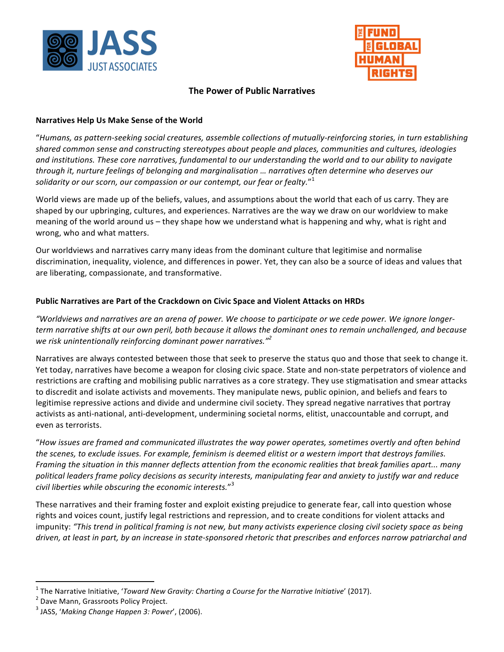



# **The Power of Public Narratives**

### **Narratives Help Us Make Sense of the World**

"*Humans, as pattern-seeking social creatures, assemble collections of mutually-reinforcing stories, in turn establishing*  shared common sense and constructing stereotypes about people and places, communities and cultures, ideologies and institutions. These core narratives, fundamental to our understanding the world and to our ability to navigate through it, nurture feelings of belonging and marginalisation ... narratives often determine who deserves our solidarity or our scorn, our compassion or our contempt, our fear or fealty."<sup>1</sup>

World views are made up of the beliefs, values, and assumptions about the world that each of us carry. They are shaped by our upbringing, cultures, and experiences. Narratives are the way we draw on our worldview to make meaning of the world around us – they shape how we understand what is happening and why, what is right and wrong, who and what matters.

Our worldviews and narratives carry many ideas from the dominant culture that legitimise and normalise discrimination, inequality, violence, and differences in power. Yet, they can also be a source of ideas and values that are liberating, compassionate, and transformative.

### Public Narratives are Part of the Crackdown on Civic Space and Violent Attacks on HRDs

*"Worldviews* and narratives are an arena of power. We choose to participate or we cede power. We ignore longer*term* narrative shifts at our own peril, both because it allows the dominant ones to remain unchallenged, and because *we risk unintentionally reinforcing dominant power narratives.*"<sup>2</sup>

Narratives are always contested between those that seek to preserve the status quo and those that seek to change it. Yet today, narratives have become a weapon for closing civic space. State and non-state perpetrators of violence and restrictions are crafting and mobilising public narratives as a core strategy. They use stigmatisation and smear attacks to discredit and isolate activists and movements. They manipulate news, public opinion, and beliefs and fears to legitimise repressive actions and divide and undermine civil society. They spread negative narratives that portray activists as anti-national, anti-development, undermining societal norms, elitist, unaccountable and corrupt, and even as terrorists.

"*How issues are framed and communicated illustrates the way power operates, sometimes overtly and often behind the scenes, to exclude issues. For example, feminism is deemed elitist or a western import that destroys families. Framing* the situation in this manner deflects attention from the economic realities that break families apart... many political leaders frame policy decisions as security interests, manipulating fear and anxiety to justify war and reduce civil liberties while obscuring the economic interests."<sup>3</sup>

These narratives and their framing foster and exploit existing prejudice to generate fear, call into question whose rights and voices count, justify legal restrictions and repression, and to create conditions for violent attacks and impunity: "This trend in political framing is not new, but many activists experience closing civil society space as being *driven, at least in part, by an increase in state-sponsored rhetoric that prescribes and enforces narrow patriarchal and* 

<sup>&</sup>lt;sup>1</sup> The Narrative Initiative, '*Toward New Gravity: Charting a Course for the Narrative Initiative'* (2017).<br><sup>2</sup> Dave Mann, Grassroots Policy Project.

<sup>&</sup>lt;sup>3</sup> JASS, 'Making Change Happen 3: Power', (2006).